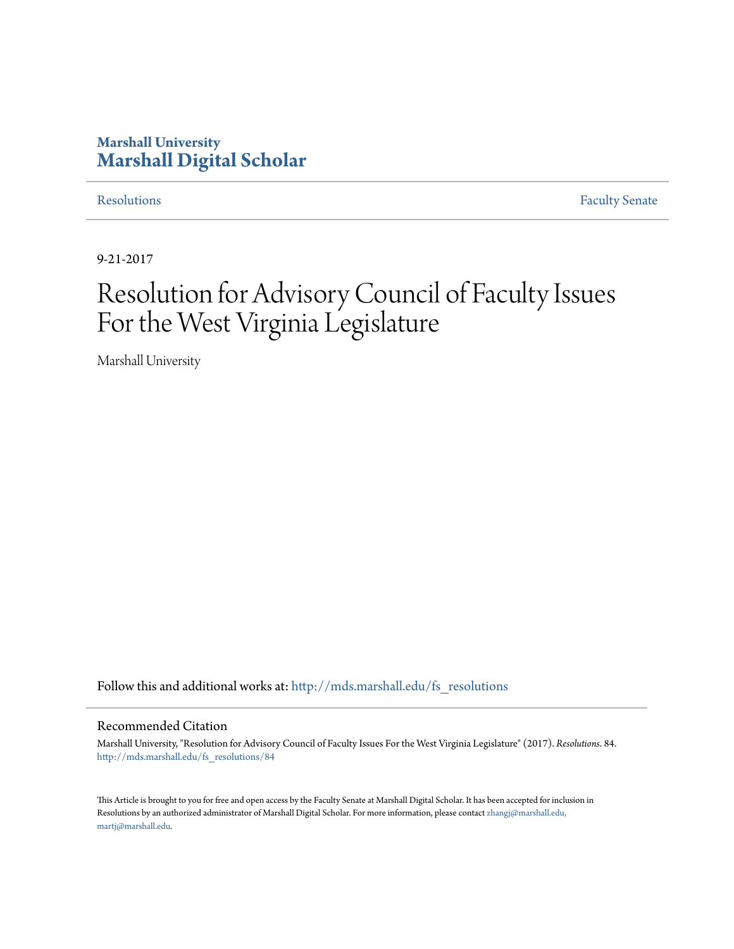# **Marshall University [Marshall Digital Scholar](http://mds.marshall.edu?utm_source=mds.marshall.edu%2Ffs_resolutions%2F84&utm_medium=PDF&utm_campaign=PDFCoverPages)**

[Resolutions](http://mds.marshall.edu/fs_resolutions?utm_source=mds.marshall.edu%2Ffs_resolutions%2F84&utm_medium=PDF&utm_campaign=PDFCoverPages) [Faculty Senate](http://mds.marshall.edu/fs?utm_source=mds.marshall.edu%2Ffs_resolutions%2F84&utm_medium=PDF&utm_campaign=PDFCoverPages)

9-21-2017

# Resolution for Advisory Council of Faculty Issues For the West Virginia Legislature

Marshall University

Follow this and additional works at: [http://mds.marshall.edu/fs\\_resolutions](http://mds.marshall.edu/fs_resolutions?utm_source=mds.marshall.edu%2Ffs_resolutions%2F84&utm_medium=PDF&utm_campaign=PDFCoverPages)

#### Recommended Citation

Marshall University, "Resolution for Advisory Council of Faculty Issues For the West Virginia Legislature" (2017). *Resolutions*. 84. [http://mds.marshall.edu/fs\\_resolutions/84](http://mds.marshall.edu/fs_resolutions/84?utm_source=mds.marshall.edu%2Ffs_resolutions%2F84&utm_medium=PDF&utm_campaign=PDFCoverPages)

This Article is brought to you for free and open access by the Faculty Senate at Marshall Digital Scholar. It has been accepted for inclusion in Resolutions by an authorized administrator of Marshall Digital Scholar. For more information, please contact [zhangj@marshall.edu,](mailto:zhangj@marshall.edu,%20martj@marshall.edu) [martj@marshall.edu](mailto:zhangj@marshall.edu,%20martj@marshall.edu).